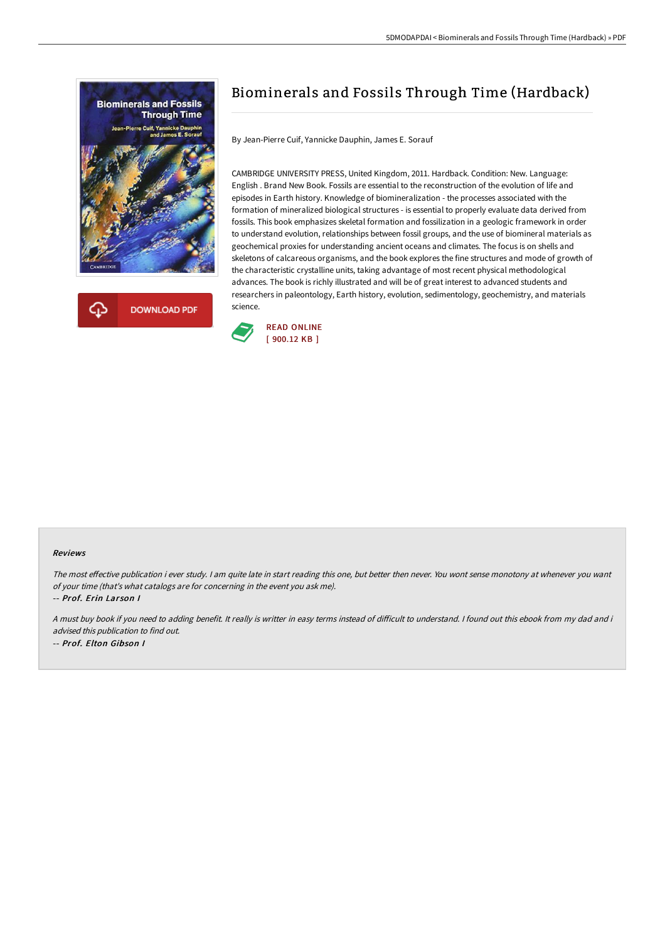



# Biominerals and Fossils Through Time (Hardback)

By Jean-Pierre Cuif, Yannicke Dauphin, James E. Sorauf

CAMBRIDGE UNIVERSITY PRESS, United Kingdom, 2011. Hardback. Condition: New. Language: English . Brand New Book. Fossils are essential to the reconstruction of the evolution of life and episodes in Earth history. Knowledge of biomineralization - the processes associated with the formation of mineralized biological structures - is essential to properly evaluate data derived from fossils. This book emphasizes skeletal formation and fossilization in a geologic framework in order to understand evolution, relationships between fossil groups, and the use of biomineral materials as geochemical proxies for understanding ancient oceans and climates. The focus is on shells and skeletons of calcareous organisms, and the book explores the fine structures and mode of growth of the characteristic crystalline units, taking advantage of most recent physical methodological advances. The book is richly illustrated and will be of great interest to advanced students and researchers in paleontology, Earth history, evolution, sedimentology, geochemistry, and materials science.



#### Reviews

The most effective publication i ever study. I am quite late in start reading this one, but better then never. You wont sense monotony at whenever you want of your time (that's what catalogs are for concerning in the event you ask me).

-- Prof. Erin Lar son I

A must buy book if you need to adding benefit. It really is writter in easy terms instead of difficult to understand. I found out this ebook from my dad and i advised this publication to find out. -- Prof. Elton Gibson I